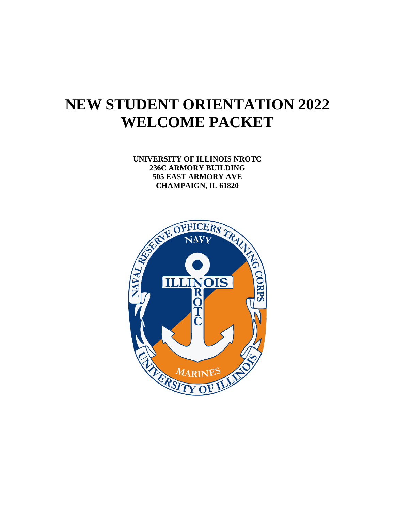# **NEW STUDENT ORIENTATION 2022 WELCOME PACKET**

**UNIVERSITY OF ILLINOIS NROTC 236C ARMORY BUILDING 505 EAST ARMORY AVE** 

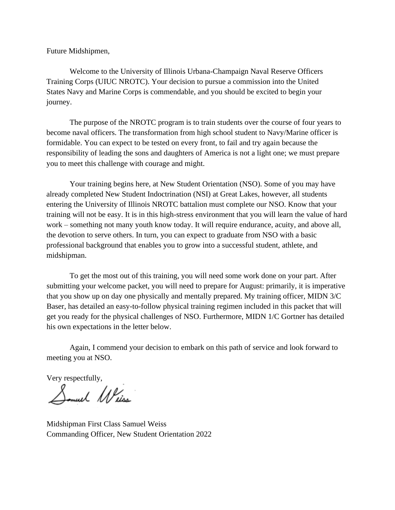Future Midshipmen,

Welcome to the University of Illinois Urbana-Champaign Naval Reserve Officers Training Corps (UIUC NROTC). Your decision to pursue a commission into the United States Navy and Marine Corps is commendable, and you should be excited to begin your journey.

The purpose of the NROTC program is to train students over the course of four years to become naval officers. The transformation from high school student to Navy/Marine officer is formidable. You can expect to be tested on every front, to fail and try again because the responsibility of leading the sons and daughters of America is not a light one; we must prepare you to meet this challenge with courage and might.

Your training begins here, at New Student Orientation (NSO). Some of you may have already completed New Student Indoctrination (NSI) at Great Lakes, however, all students entering the University of Illinois NROTC battalion must complete our NSO. Know that your training will not be easy. It is in this high-stress environment that you will learn the value of hard work – something not many youth know today. It will require endurance, acuity, and above all, the devotion to serve others. In turn, you can expect to graduate from NSO with a basic professional background that enables you to grow into a successful student, athlete, and midshipman.

To get the most out of this training, you will need some work done on your part. After submitting your welcome packet, you will need to prepare for August: primarily, it is imperative that you show up on day one physically and mentally prepared. My training officer, MIDN 3/C Baser, has detailed an easy-to-follow physical training regimen included in this packet that will get you ready for the physical challenges of NSO. Furthermore, MIDN 1/C Gortner has detailed his own expectations in the letter below.

Again, I commend your decision to embark on this path of service and look forward to meeting you at NSO.

Very respectfully,

Somuel Weiss

Midshipman First Class Samuel Weiss Commanding Officer, New Student Orientation 2022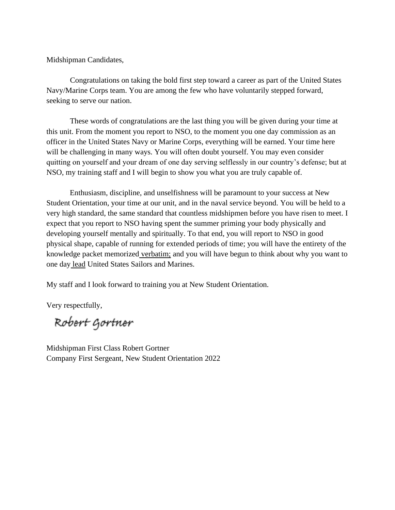Midshipman Candidates,

Congratulations on taking the bold first step toward a career as part of the United States Navy/Marine Corps team. You are among the few who have voluntarily stepped forward, seeking to serve our nation.

These words of congratulations are the last thing you will be given during your time at this unit. From the moment you report to NSO, to the moment you one day commission as an officer in the United States Navy or Marine Corps, everything will be earned. Your time here will be challenging in many ways. You will often doubt yourself. You may even consider quitting on yourself and your dream of one day serving selflessly in our country's defense; but at NSO, my training staff and I will begin to show you what you are truly capable of.

Enthusiasm, discipline, and unselfishness will be paramount to your success at New Student Orientation, your time at our unit, and in the naval service beyond. You will be held to a very high standard, the same standard that countless midshipmen before you have risen to meet. I expect that you report to NSO having spent the summer priming your body physically and developing yourself mentally and spiritually. To that end, you will report to NSO in good physical shape, capable of running for extended periods of time; you will have the entirety of the knowledge packet memorized verbatim; and you will have begun to think about why you want to one day lead United States Sailors and Marines.

My staff and I look forward to training you at New Student Orientation.

Very respectfully,

Robert Gortner

Midshipman First Class Robert Gortner Company First Sergeant, New Student Orientation 2022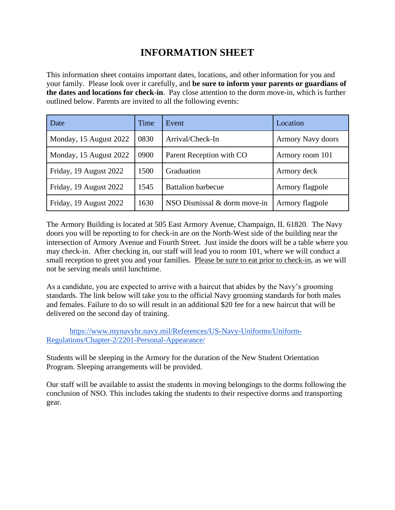# **INFORMATION SHEET**

This information sheet contains important dates, locations, and other information for you and your family. Please look over it carefully, and **be sure to inform your parents or guardians of the dates and locations for check-in**. Pay close attention to the dorm move-in, which is further outlined below. Parents are invited to all the following events:

| Date                   | Time | Event                        | Location                 |
|------------------------|------|------------------------------|--------------------------|
| Monday, 15 August 2022 | 0830 | Arrival/Check-In             | <b>Armory Navy doors</b> |
| Monday, 15 August 2022 | 0900 | Parent Reception with CO     | Armory room 101          |
| Friday, 19 August 2022 | 1500 | Graduation                   | Armory deck              |
| Friday, 19 August 2022 | 1545 | <b>Battalion barbecue</b>    | Armory flagpole          |
| Friday, 19 August 2022 | 1630 | NSO Dismissal & dorm move-in | Armory flagpole          |

The Armory Building is located at 505 East Armory Avenue, Champaign, IL 61820. The Navy doors you will be reporting to for check-in are on the North-West side of the building near the intersection of Armory Avenue and Fourth Street. Just inside the doors will be a table where you may check-in. After checking in, our staff will lead you to room 101, where we will conduct a small reception to greet you and your families. Please be sure to eat prior to check-in, as we will not be serving meals until lunchtime.

As a candidate, you are expected to arrive with a haircut that abides by the Navy's grooming standards. The link below will take you to the official Navy grooming standards for both males and females. Failure to do so will result in an additional \$20 fee for a new haircut that will be delivered on the second day of training.

[https://www.mynavyhr.navy.mil/References/US-Navy-Uniforms/Uniform-](https://www.mynavyhr.navy.mil/References/US-Navy-Uniforms/Uniform-Regulations/Chapter-2/2201-Personal-Appearance/)[Regulations/Chapter-2/2201-Personal-Appearance/](https://www.mynavyhr.navy.mil/References/US-Navy-Uniforms/Uniform-Regulations/Chapter-2/2201-Personal-Appearance/)

Students will be sleeping in the Armory for the duration of the New Student Orientation Program. Sleeping arrangements will be provided.

Our staff will be available to assist the students in moving belongings to the dorms following the conclusion of NSO. This includes taking the students to their respective dorms and transporting gear.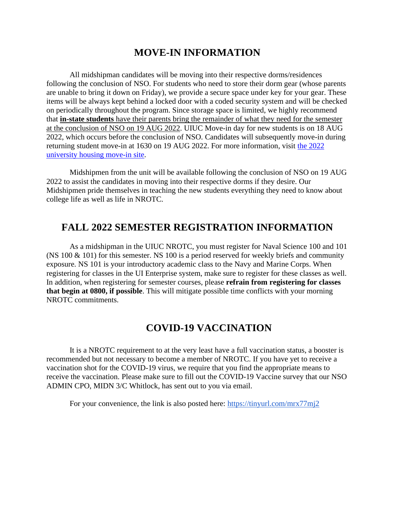# **MOVE-IN INFORMATION**

All midshipman candidates will be moving into their respective dorms/residences following the conclusion of NSO. For students who need to store their dorm gear (whose parents are unable to bring it down on Friday), we provide a secure space under key for your gear. These items will be always kept behind a locked door with a coded security system and will be checked on periodically throughout the program. Since storage space is limited, we highly recommend that **in-state students** have their parents bring the remainder of what they need for the semester at the conclusion of NSO on 19 AUG 2022. UIUC Move-in day for new students is on 18 AUG 2022, which occurs before the conclusion of NSO. Candidates will subsequently move-in during returning student move-in at 1630 on 19 AUG 2022. For more information, visit [the 2022](https://housing.illinois.edu/tools/move-in)  [university housing move-in site.](https://housing.illinois.edu/tools/move-in)

Midshipmen from the unit will be available following the conclusion of NSO on 19 AUG 2022 to assist the candidates in moving into their respective dorms if they desire. Our Midshipmen pride themselves in teaching the new students everything they need to know about college life as well as life in NROTC.

# **FALL 2022 SEMESTER REGISTRATION INFORMATION**

As a midshipman in the UIUC NROTC, you must register for Naval Science 100 and 101 (NS 100 & 101) for this semester. NS 100 is a period reserved for weekly briefs and community exposure. NS 101 is your introductory academic class to the Navy and Marine Corps. When registering for classes in the UI Enterprise system, make sure to register for these classes as well. In addition, when registering for semester courses, please **refrain from registering for classes that begin at 0800, if possible**. This will mitigate possible time conflicts with your morning NROTC commitments.

# **COVID-19 VACCINATION**

It is a NROTC requirement to at the very least have a full vaccination status, a booster is recommended but not necessary to become a member of NROTC. If you have yet to receive a vaccination shot for the COVID-19 virus, we require that you find the appropriate means to receive the vaccination. Please make sure to fill out the COVID-19 Vaccine survey that our NSO ADMIN CPO, MIDN 3/C Whitlock, has sent out to you via email.

For your convenience, the link is also posted here:<https://tinyurl.com/mrx77mj2>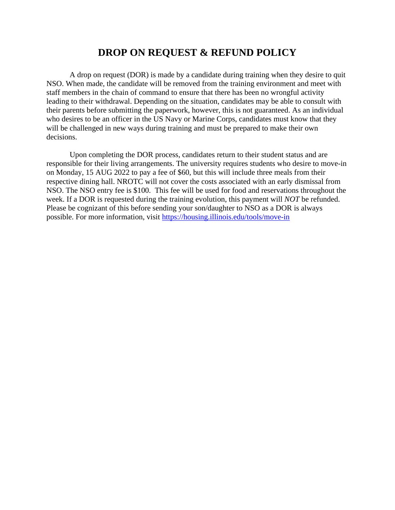# **DROP ON REQUEST & REFUND POLICY**

A drop on request (DOR) is made by a candidate during training when they desire to quit NSO. When made, the candidate will be removed from the training environment and meet with staff members in the chain of command to ensure that there has been no wrongful activity leading to their withdrawal. Depending on the situation, candidates may be able to consult with their parents before submitting the paperwork, however, this is not guaranteed. As an individual who desires to be an officer in the US Navy or Marine Corps, candidates must know that they will be challenged in new ways during training and must be prepared to make their own decisions.

Upon completing the DOR process, candidates return to their student status and are responsible for their living arrangements. The university requires students who desire to move-in on Monday, 15 AUG 2022 to pay a fee of \$60, but this will include three meals from their respective dining hall. NROTC will not cover the costs associated with an early dismissal from NSO. The NSO entry fee is \$100. This fee will be used for food and reservations throughout the week. If a DOR is requested during the training evolution, this payment will *NOT* be refunded. Please be cognizant of this before sending your son/daughter to NSO as a DOR is always possible. For more information, visit<https://housing.illinois.edu/tools/move-in>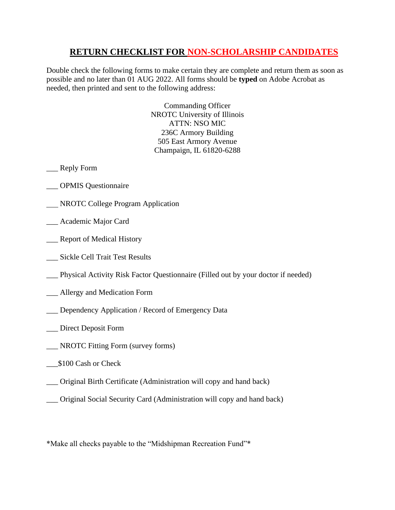## **RETURN CHECKLIST FOR NON-SCHOLARSHIP CANDIDATES**

Double check the following forms to make certain they are complete and return them as soon as possible and no later than 01 AUG 2022. All forms should be **typed** on Adobe Acrobat as needed, then printed and sent to the following address:

> Commanding Officer NROTC University of Illinois ATTN: NSO MIC 236C Armory Building 505 East Armory Avenue Champaign, IL 61820-6288

- \_\_\_ Reply Form
- \_\_\_ OPMIS Questionnaire
- **NROTC College Program Application**
- \_\_\_ Academic Major Card
- \_\_\_ Report of Medical History
- \_\_\_ Sickle Cell Trait Test Results
- \_\_\_ Physical Activity Risk Factor Questionnaire (Filled out by your doctor if needed)
- \_\_\_ Allergy and Medication Form
- \_\_\_ Dependency Application / Record of Emergency Data
- \_\_\_ Direct Deposit Form
- \_\_\_ NROTC Fitting Form (survey forms)
- \_\_\_\$100 Cash or Check
- \_\_\_ Original Birth Certificate (Administration will copy and hand back)
- \_\_\_ Original Social Security Card (Administration will copy and hand back)

\*Make all checks payable to the "Midshipman Recreation Fund"\*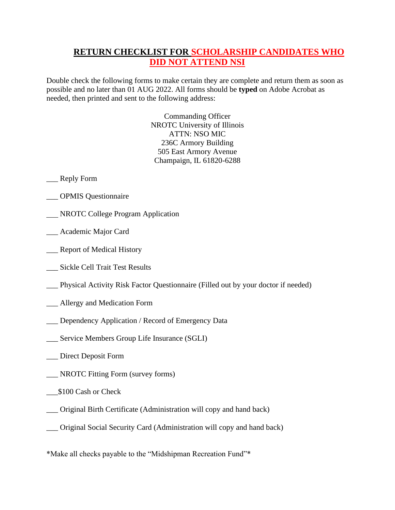# **RETURN CHECKLIST FOR SCHOLARSHIP CANDIDATES WHO DID NOT ATTEND NSI**

Double check the following forms to make certain they are complete and return them as soon as possible and no later than 01 AUG 2022. All forms should be **typed** on Adobe Acrobat as needed, then printed and sent to the following address:

> Commanding Officer NROTC University of Illinois ATTN: NSO MIC 236C Armory Building 505 East Armory Avenue Champaign, IL 61820-6288

## \_\_\_ Reply Form

- \_\_\_ OPMIS Questionnaire
- NROTC College Program Application
- \_\_\_ Academic Major Card
- \_\_\_ Report of Medical History
- \_\_\_ Sickle Cell Trait Test Results
- \_\_\_ Physical Activity Risk Factor Questionnaire (Filled out by your doctor if needed)
- \_\_\_ Allergy and Medication Form
- \_\_\_ Dependency Application / Record of Emergency Data
- \_\_\_ Service Members Group Life Insurance (SGLI)
- \_\_\_ Direct Deposit Form
- \_\_\_ NROTC Fitting Form (survey forms)
- \$100 Cash or Check
- \_\_\_ Original Birth Certificate (Administration will copy and hand back)
- \_\_\_ Original Social Security Card (Administration will copy and hand back)
- \*Make all checks payable to the "Midshipman Recreation Fund"\*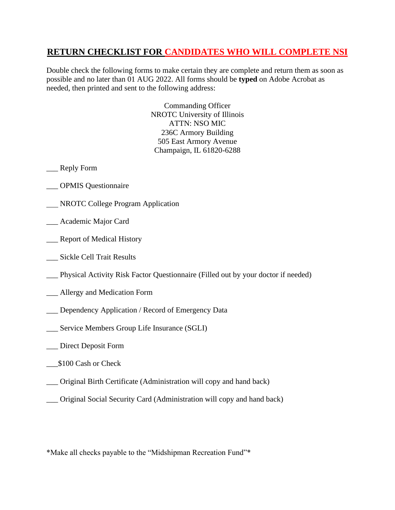# **RETURN CHECKLIST FOR CANDIDATES WHO WILL COMPLETE NSI**

Double check the following forms to make certain they are complete and return them as soon as possible and no later than 01 AUG 2022. All forms should be **typed** on Adobe Acrobat as needed, then printed and sent to the following address:

> Commanding Officer NROTC University of Illinois ATTN: NSO MIC 236C Armory Building 505 East Armory Avenue Champaign, IL 61820-6288

- \_\_\_ Reply Form
- \_\_\_ OPMIS Questionnaire
- **NROTC College Program Application**
- \_\_\_ Academic Major Card
- \_\_\_ Report of Medical History
- \_\_\_ Sickle Cell Trait Results
- \_\_\_ Physical Activity Risk Factor Questionnaire (Filled out by your doctor if needed)
- \_\_\_ Allergy and Medication Form
- \_\_\_ Dependency Application / Record of Emergency Data
- \_\_\_ Service Members Group Life Insurance (SGLI)
- \_\_\_ Direct Deposit Form
- \$100 Cash or Check
- \_\_\_ Original Birth Certificate (Administration will copy and hand back)
- \_\_\_ Original Social Security Card (Administration will copy and hand back)

\*Make all checks payable to the "Midshipman Recreation Fund"\*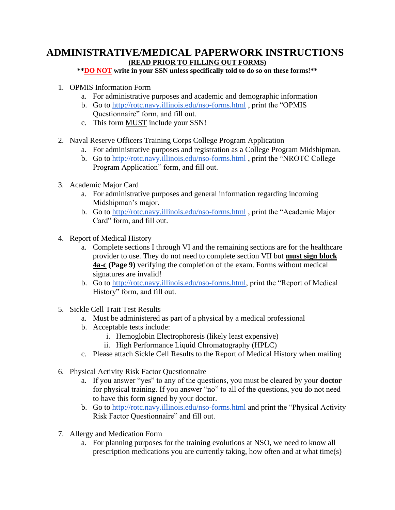## **ADMINISTRATIVE/MEDICAL PAPERWORK INSTRUCTIONS (READ PRIOR TO FILLING OUT FORMS)**

**\*\*DO NOT write in your SSN unless specifically told to do so on these forms!\*\***

- 1. OPMIS Information Form
	- a. For administrative purposes and academic and demographic information
	- b. Go to<http://rotc.navy.illinois.edu/nso-forms.html> , print the "OPMIS Questionnaire" form, and fill out.
	- c. This form MUST include your SSN!
- 2. Naval Reserve Officers Training Corps College Program Application
	- a. For administrative purposes and registration as a College Program Midshipman.
	- b. Go to<http://rotc.navy.illinois.edu/nso-forms.html> , print the "NROTC College Program Application" form, and fill out.
- 3. Academic Major Card
	- a. For administrative purposes and general information regarding incoming Midshipman's major.
	- b. Go to<http://rotc.navy.illinois.edu/nso-forms.html> , print the "Academic Major Card" form, and fill out.
- 4. Report of Medical History
	- a. Complete sections I through VI and the remaining sections are for the healthcare provider to use. They do not need to complete section VII but **must sign block 4a-c (Page 9)** verifying the completion of the exam. Forms without medical signatures are invalid!
	- b. Go to [http://rotc.navy.illinois.edu/nso-forms.html,](http://rotc.navy.illinois.edu/nso-forms.html) print the "Report of Medical" History" form, and fill out.
- 5. Sickle Cell Trait Test Results
	- a. Must be administered as part of a physical by a medical professional
	- b. Acceptable tests include:
		- i. Hemoglobin Electrophoresis (likely least expensive)
		- ii. High Performance Liquid Chromatography (HPLC)
	- c. Please attach Sickle Cell Results to the Report of Medical History when mailing
- 6. Physical Activity Risk Factor Questionnaire
	- a. If you answer "yes" to any of the questions, you must be cleared by your **doctor** for physical training. If you answer "no" to all of the questions, you do not need to have this form signed by your doctor.
	- b. Go to<http://rotc.navy.illinois.edu/nso-forms.html> and print the "Physical Activity Risk Factor Questionnaire" and fill out.
- 7. Allergy and Medication Form
	- a. For planning purposes for the training evolutions at NSO, we need to know all prescription medications you are currently taking, how often and at what time(s)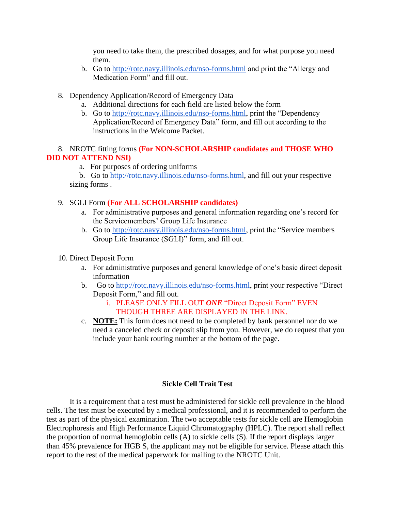you need to take them, the prescribed dosages, and for what purpose you need them.

- b. Go to<http://rotc.navy.illinois.edu/nso-forms.html> and print the "Allergy and Medication Form" and fill out.
- 8. Dependency Application/Record of Emergency Data
	- a. Additional directions for each field are listed below the form
	- b. Go to [http://rotc.navy.illinois.edu/nso-forms.html,](http://rotc.navy.illinois.edu/nso-forms.html) print the "Dependency Application/Record of Emergency Data" form, and fill out according to the instructions in the Welcome Packet.

## 8. NROTC fitting forms **(For NON-SCHOLARSHIP candidates and THOSE WHO DID NOT ATTEND NSI)**

a. For purposes of ordering uniforms

 b. Go to [http://rotc.navy.illinois.edu/nso-forms.html,](http://rotc.navy.illinois.edu/nso-forms.html) and fill out your respective sizing forms .

### 9. SGLI Form **(For ALL SCHOLARSHIP candidates)**

- a. For administrative purposes and general information regarding one's record for the Servicemembers' Group Life Insurance
- b. Go to [http://rotc.navy.illinois.edu/nso-forms.html,](http://rotc.navy.illinois.edu/nso-forms.html) print the "Service members" Group Life Insurance (SGLI)" form, and fill out.
- 10. Direct Deposit Form
	- a. For administrative purposes and general knowledge of one's basic direct deposit information
	- b. Go to [http://rotc.navy.illinois.edu/nso-forms.html,](http://rotc.navy.illinois.edu/nso-forms.html) print your respective "Direct Deposit Form," and fill out.

## i. PLEASE ONLY FILL OUT *ONE* "Direct Deposit Form" EVEN THOUGH THREE ARE DISPLAYED IN THE LINK.

c. **NOTE:** This form does not need to be completed by bank personnel nor do we need a canceled check or deposit slip from you. However, we do request that you include your bank routing number at the bottom of the page.

### **Sickle Cell Trait Test**

It is a requirement that a test must be administered for sickle cell prevalence in the blood cells. The test must be executed by a medical professional, and it is recommended to perform the test as part of the physical examination. The two acceptable tests for sickle cell are Hemoglobin Electrophoresis and High Performance Liquid Chromatography (HPLC). The report shall reflect the proportion of normal hemoglobin cells (A) to sickle cells (S). If the report displays larger than 45% prevalence for HGB S, the applicant may not be eligible for service. Please attach this report to the rest of the medical paperwork for mailing to the NROTC Unit.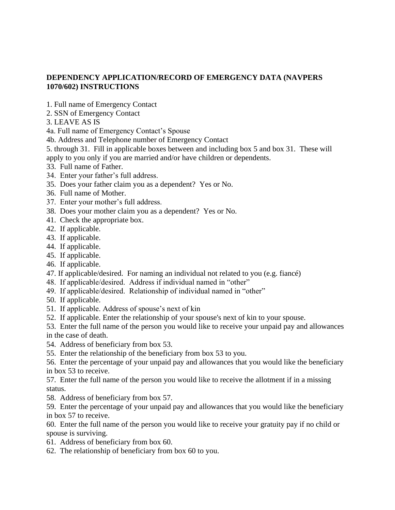## **DEPENDENCY APPLICATION/RECORD OF EMERGENCY DATA (NAVPERS 1070/602) INSTRUCTIONS**

- 1. Full name of Emergency Contact
- 2. SSN of Emergency Contact
- 3. LEAVE AS IS

4a. Full name of Emergency Contact's Spouse

- 4b. Address and Telephone number of Emergency Contact
- 5. through 31. Fill in applicable boxes between and including box 5 and box 31. These will apply to you only if you are married and/or have children or dependents.
- 33. Full name of Father.
- 34. Enter your father's full address.
- 35. Does your father claim you as a dependent? Yes or No.
- 36. Full name of Mother.
- 37. Enter your mother's full address.
- 38. Does your mother claim you as a dependent? Yes or No.
- 41. Check the appropriate box.
- 42. If applicable.
- 43. If applicable.
- 44. If applicable.
- 45. If applicable.
- 46. If applicable.
- 47. If applicable/desired. For naming an individual not related to you (e.g. fiancé)
- 48. If applicable/desired. Address if individual named in "other"
- 49. If applicable/desired. Relationship of individual named in "other"
- 50. If applicable.
- 51. If applicable. Address of spouse's next of kin
- 52. If applicable. Enter the relationship of your spouse's next of kin to your spouse.
- 53. Enter the full name of the person you would like to receive your unpaid pay and allowances in the case of death.
- 54. Address of beneficiary from box 53.
- 55. Enter the relationship of the beneficiary from box 53 to you.
- 56. Enter the percentage of your unpaid pay and allowances that you would like the beneficiary in box 53 to receive.

57. Enter the full name of the person you would like to receive the allotment if in a missing status.

- 58. Address of beneficiary from box 57.
- 59. Enter the percentage of your unpaid pay and allowances that you would like the beneficiary in box 57 to receive.

60. Enter the full name of the person you would like to receive your gratuity pay if no child or spouse is surviving.

- 61. Address of beneficiary from box 60.
- 62. The relationship of beneficiary from box 60 to you.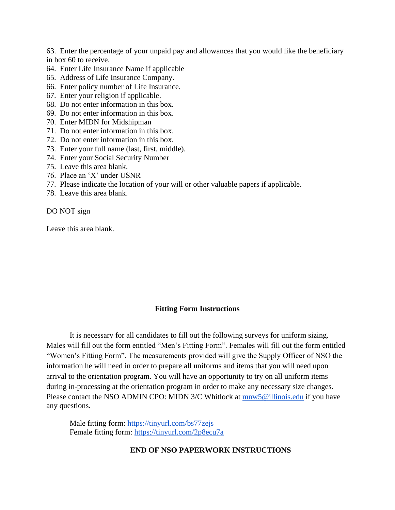63. Enter the percentage of your unpaid pay and allowances that you would like the beneficiary in box 60 to receive.

- 64. Enter Life Insurance Name if applicable
- 65. Address of Life Insurance Company.
- 66. Enter policy number of Life Insurance.
- 67. Enter your religion if applicable.
- 68. Do not enter information in this box.
- 69. Do not enter information in this box.
- 70. Enter MIDN for Midshipman
- 71. Do not enter information in this box.
- 72. Do not enter information in this box.
- 73. Enter your full name (last, first, middle).
- 74. Enter your Social Security Number
- 75. Leave this area blank.
- 76. Place an 'X' under USNR
- 77. Please indicate the location of your will or other valuable papers if applicable.
- 78. Leave this area blank.

DO NOT sign

Leave this area blank.

### **Fitting Form Instructions**

It is necessary for all candidates to fill out the following surveys for uniform sizing. Males will fill out the form entitled "Men's Fitting Form". Females will fill out the form entitled "Women's Fitting Form". The measurements provided will give the Supply Officer of NSO the information he will need in order to prepare all uniforms and items that you will need upon arrival to the orientation program. You will have an opportunity to try on all uniform items during in-processing at the orientation program in order to make any necessary size changes. Please contact the NSO ADMIN CPO: MIDN 3/C Whitlock at [mnw5@illinois.edu](mailto:mnw5@illinois.edu) if you have any questions.

Male fitting form:<https://tinyurl.com/bs77zejs> Female fitting form:<https://tinyurl.com/2p8ecu7a>

### **END OF NSO PAPERWORK INSTRUCTIONS**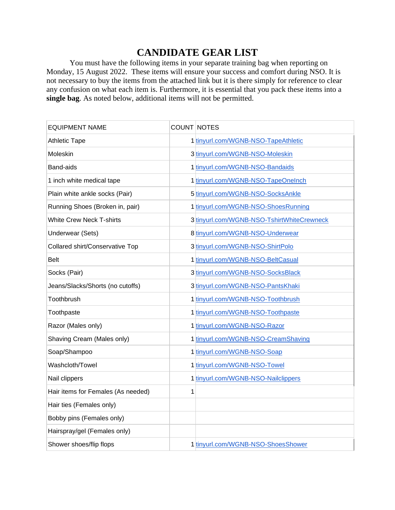# **CANDIDATE GEAR LIST**

You must have the following items in your separate training bag when reporting on Monday, 15 August 2022. These items will ensure your success and comfort during NSO. It is not necessary to buy the items from the attached link but it is there simply for reference to clear any confusion on what each item is. Furthermore, it is essential that you pack these items into a **single bag**. As noted below, additional items will not be permitted.

| <b>EQUIPMENT NAME</b>              | COUNT NOTES |                                            |
|------------------------------------|-------------|--------------------------------------------|
| <b>Athletic Tape</b>               |             | 1 tinyurl.com/WGNB-NSO-TapeAthletic        |
| Moleskin                           |             | 3 tinyurl.com/WGNB-NSO-Moleskin            |
| Band-aids                          |             | 1 tinyurl.com/WGNB-NSO-Bandaids            |
| 1 inch white medical tape          |             | 1 tinyurl.com/WGNB-NSO-TapeOneInch         |
| Plain white ankle socks (Pair)     |             | 5 tinyurl.com/WGNB-NSO-SocksAnkle          |
| Running Shoes (Broken in, pair)    |             | 1 tinyurl.com/WGNB-NSO-ShoesRunning        |
| <b>White Crew Neck T-shirts</b>    |             | 3 tinyurl.com/WGNB-NSO-TshirtWhiteCrewneck |
| <b>Underwear (Sets)</b>            |             | 8 tinyurl.com/WGNB-NSO-Underwear           |
| Collared shirt/Conservative Top    |             | 3 tinyurl.com/WGNB-NSO-ShirtPolo           |
| <b>Belt</b>                        |             | 1 tinyurl.com/WGNB-NSO-BeltCasual          |
| Socks (Pair)                       |             | 3 tinyurl.com/WGNB-NSO-SocksBlack          |
| Jeans/Slacks/Shorts (no cutoffs)   |             | 3 tinyurl.com/WGNB-NSO-PantsKhaki          |
| Toothbrush                         |             | 1 tinyurl.com/WGNB-NSO-Toothbrush          |
| Toothpaste                         |             | 1 tinyurl.com/WGNB-NSO-Toothpaste          |
| Razor (Males only)                 |             | 1 tinyurl.com/WGNB-NSO-Razor               |
| Shaving Cream (Males only)         |             | 1 tinyurl.com/WGNB-NSO-CreamShaving        |
| Soap/Shampoo                       |             | 1 tinyurl.com/WGNB-NSO-Soap                |
| Washcloth/Towel                    |             | 1 tinyurl.com/WGNB-NSO-Towel               |
| Nail clippers                      |             | 1 tinyurl.com/WGNB-NSO-Nailclippers        |
| Hair items for Females (As needed) | 1           |                                            |
| Hair ties (Females only)           |             |                                            |
| Bobby pins (Females only)          |             |                                            |
| Hairspray/gel (Females only)       |             |                                            |
| Shower shoes/flip flops            |             | 1 tinyurl.com/WGNB-NSO-ShoesShower         |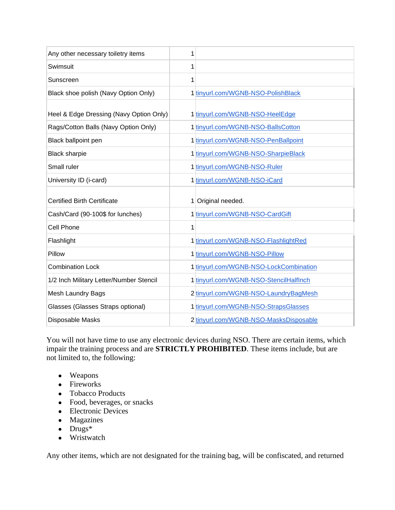| Any other necessary toiletry items      | 1 |                                        |
|-----------------------------------------|---|----------------------------------------|
| Swimsuit                                | 1 |                                        |
| Sunscreen                               | 1 |                                        |
| Black shoe polish (Navy Option Only)    |   | 1 tinyurl.com/WGNB-NSO-PolishBlack     |
| Heel & Edge Dressing (Navy Option Only) |   | 1 tinyurl.com/WGNB-NSO-HeelEdge        |
| Rags/Cotton Balls (Navy Option Only)    |   | 1 tinyurl.com/WGNB-NSO-BallsCotton     |
| Black ballpoint pen                     |   | 1 tinyurl.com/WGNB-NSO-PenBallpoint    |
| <b>Black sharpie</b>                    |   | 1 tinyurl.com/WGNB-NSO-SharpieBlack    |
| Small ruler                             |   | 1 tinyurl.com/WGNB-NSO-Ruler           |
| University ID (i-card)                  |   | 1 tinyurl.com/WGNB-NSO-iCard           |
|                                         |   |                                        |
| <b>Certified Birth Certificate</b>      |   | 1 Original needed.                     |
| Cash/Card (90-100\$ for lunches)        |   | 1 tinyurl.com/WGNB-NSO-CardGift        |
| Cell Phone                              | 1 |                                        |
| Flashlight                              |   | 1 tinyurl.com/WGNB-NSO-FlashlightRed   |
| Pillow                                  |   | 1 tinyurl.com/WGNB-NSO-Pillow          |
| <b>Combination Lock</b>                 |   | 1 tinyurl.com/WGNB-NSO-LockCombination |
| 1/2 Inch Military Letter/Number Stencil |   | 1 tinyurl.com/WGNB-NSO-StencilHalfInch |
| Mesh Laundry Bags                       |   | 2 tinyurl.com/WGNB-NSO-LaundryBagMesh  |
| Glasses (Glasses Straps optional)       |   | 1 tinyurl.com/WGNB-NSO-StrapsGlasses   |

You will not have time to use any electronic devices during NSO. There are certain items, which impair the training process and are **STRICTLY PROHIBITED**. These items include, but are not limited to, the following:

- Weapons
- Fireworks
- Tobacco Products
- Food, beverages, or snacks
- Electronic Devices
- Magazines
- $\bullet$  Drugs<sup>\*</sup>
- Wristwatch

Any other items, which are not designated for the training bag, will be confiscated, and returned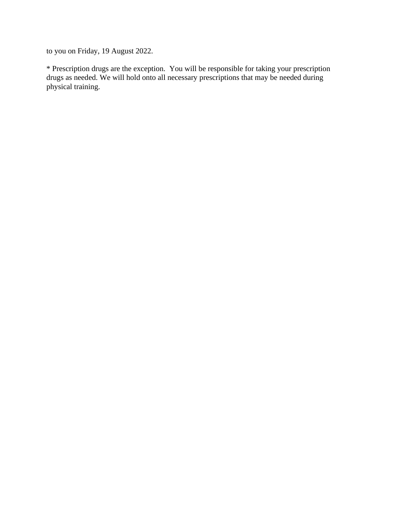to you on Friday, 19 August 2022.

\* Prescription drugs are the exception. You will be responsible for taking your prescription drugs as needed. We will hold onto all necessary prescriptions that may be needed during physical training.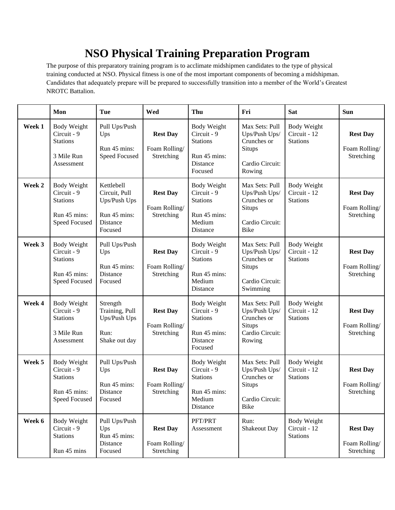# **NSO Physical Training Preparation Program**

The purpose of this preparatory training program is to acclimate midshipmen candidates to the type of physical training conducted at NSO. Physical fitness is one of the most important components of becoming a midshipman. Candidates that adequately prepare will be prepared to successfully transition into a member of the World's Greatest NROTC Battalion.

|        | Mon                                                                                   | Tue                                                                                | Wed                                            | Thu                                                                                         | Fri                                                                                        | <b>Sat</b>                                            | <b>Sun</b>                                     |
|--------|---------------------------------------------------------------------------------------|------------------------------------------------------------------------------------|------------------------------------------------|---------------------------------------------------------------------------------------------|--------------------------------------------------------------------------------------------|-------------------------------------------------------|------------------------------------------------|
| Week 1 | <b>Body Weight</b><br>Circuit - 9<br><b>Stations</b><br>3 Mile Run<br>Assessment      | Pull Ups/Push<br>Ups<br>Run 45 mins:<br>Speed Focused                              | <b>Rest Day</b><br>Foam Rolling/<br>Stretching | <b>Body Weight</b><br>Circuit - 9<br><b>Stations</b><br>Run 45 mins:<br>Distance<br>Focused | Max Sets: Pull<br>Ups/Push Ups/<br>Crunches or<br>Situps<br>Cardio Circuit:<br>Rowing      | <b>Body Weight</b><br>Circuit - 12<br><b>Stations</b> | <b>Rest Day</b><br>Foam Rolling/<br>Stretching |
| Week 2 | <b>Body Weight</b><br>Circuit - 9<br><b>Stations</b><br>Run 45 mins:<br>Speed Focused | Kettlebell<br>Circuit, Pull<br>Ups/Push Ups<br>Run 45 mins:<br>Distance<br>Focused | <b>Rest Day</b><br>Foam Rolling/<br>Stretching | <b>Body Weight</b><br>Circuit - 9<br><b>Stations</b><br>Run 45 mins:<br>Medium<br>Distance  | Max Sets: Pull<br>Ups/Push Ups/<br>Crunches or<br>Situps<br>Cardio Circuit:<br><b>Bike</b> | Body Weight<br>Circuit - 12<br><b>Stations</b>        | <b>Rest Day</b><br>Foam Rolling/<br>Stretching |
| Week 3 | <b>Body Weight</b><br>Circuit - 9<br><b>Stations</b><br>Run 45 mins:<br>Speed Focused | Pull Ups/Push<br>Ups<br>Run 45 mins:<br>Distance<br>Focused                        | <b>Rest Day</b><br>Foam Rolling/<br>Stretching | <b>Body Weight</b><br>Circuit - 9<br><b>Stations</b><br>Run 45 mins:<br>Medium<br>Distance  | Max Sets: Pull<br>Ups/Push Ups/<br>Crunches or<br>Situps<br>Cardio Circuit:<br>Swimming    | <b>Body Weight</b><br>Circuit - 12<br><b>Stations</b> | <b>Rest Day</b><br>Foam Rolling/<br>Stretching |
| Week 4 | <b>Body Weight</b><br>Circuit - 9<br><b>Stations</b><br>3 Mile Run<br>Assessment      | Strength<br>Training, Pull<br>Ups/Push Ups<br>Run:<br>Shake out day                | <b>Rest Day</b><br>Foam Rolling/<br>Stretching | <b>Body Weight</b><br>Circuit - 9<br><b>Stations</b><br>Run 45 mins:<br>Distance<br>Focused | Max Sets: Pull<br>Ups/Push Ups/<br>Crunches or<br>Situps<br>Cardio Circuit:<br>Rowing      | <b>Body Weight</b><br>Circuit - 12<br><b>Stations</b> | <b>Rest Day</b><br>Foam Rolling/<br>Stretching |
| Week 5 | <b>Body Weight</b><br>Circuit - 9<br><b>Stations</b><br>Run 45 mins:<br>Speed Focused | Pull Ups/Push<br>Ups<br>Run 45 mins:<br>Distance<br>Focused                        | <b>Rest Day</b><br>Foam Rolling/<br>Stretching | Body Weight<br>Circuit - 9<br><b>Stations</b><br>Run 45 mins:<br>Medium<br>Distance         | Max Sets: Pull<br>Ups/Push Ups/<br>Crunches or<br>Situps<br>Cardio Circuit:<br><b>Bike</b> | Body Weight<br>Circuit - 12<br><b>Stations</b>        | <b>Rest Day</b><br>Foam Rolling/<br>Stretching |
| Week 6 | <b>Body Weight</b><br>Circuit - 9<br><b>Stations</b><br>Run 45 mins                   | Pull Ups/Push<br>Ups<br>Run 45 mins:<br>Distance<br>Focused                        | <b>Rest Day</b><br>Foam Rolling/<br>Stretching | PFT/PRT<br>Assessment                                                                       | Run:<br>Shakeout Day                                                                       | Body Weight<br>Circuit - 12<br><b>Stations</b>        | <b>Rest Day</b><br>Foam Rolling/<br>Stretching |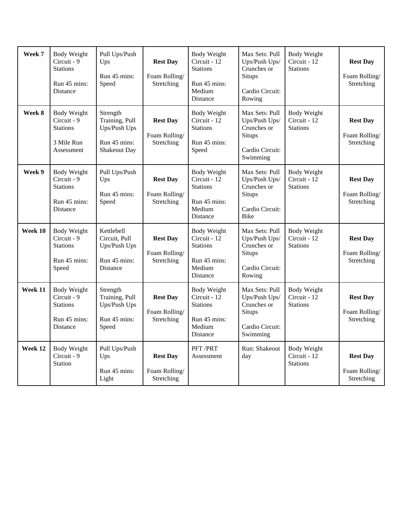| Week 7  | <b>Body Weight</b><br>Circuit - 9<br><b>Stations</b><br>Run 45 mins:<br>Distance        | Pull Ups/Push<br>Ups<br>Run 45 mins:<br>Speed                                     | <b>Rest Day</b><br>Foam Rolling/<br>Stretching | <b>Body Weight</b><br>Circuit - 12<br><b>Stations</b><br>Run 45 mins:<br>Medium<br>Distance | Max Sets: Pull<br>Ups/Push Ups/<br>Crunches or<br>Situps<br>Cardio Circuit:<br>Rowing      | Body Weight<br>Circuit - 12<br><b>Stations</b>        | <b>Rest Day</b><br>Foam Rolling/<br>Stretching |
|---------|-----------------------------------------------------------------------------------------|-----------------------------------------------------------------------------------|------------------------------------------------|---------------------------------------------------------------------------------------------|--------------------------------------------------------------------------------------------|-------------------------------------------------------|------------------------------------------------|
| Week 8  | <b>Body Weight</b><br>Circuit - 9<br><b>Stations</b><br>3 Mile Run<br>Assessment        | Strength<br>Training, Pull<br>Ups/Push Ups<br>Run 45 mins:<br><b>Shakeout Day</b> | <b>Rest Day</b><br>Foam Rolling/<br>Stretching | <b>Body Weight</b><br>Circuit - 12<br><b>Stations</b><br>Run 45 mins:<br>Speed              | Max Sets: Pull<br>Ups/Push Ups/<br>Crunches or<br>Situps<br>Cardio Circuit:<br>Swimming    | <b>Body Weight</b><br>Circuit - 12<br><b>Stations</b> | <b>Rest Day</b><br>Foam Rolling/<br>Stretching |
| Week 9  | <b>Body Weight</b><br>Circuit - 9<br><b>Stations</b><br>Run 45 mins:<br>Distance        | Pull Ups/Push<br>Ups<br>Run 45 mins:<br>Speed                                     | <b>Rest Day</b><br>Foam Rolling/<br>Stretching | <b>Body Weight</b><br>Circuit - 12<br><b>Stations</b><br>Run 45 mins:<br>Medium<br>Distance | Max Sets: Pull<br>Ups/Push Ups/<br>Crunches or<br>Situps<br>Cardio Circuit:<br><b>Bike</b> | <b>Body Weight</b><br>Circuit - 12<br><b>Stations</b> | <b>Rest Day</b><br>Foam Rolling/<br>Stretching |
| Week 10 | <b>Body Weight</b><br>Circuit - 9<br><b>Stations</b><br>Run 45 mins:<br>Speed           | Kettlebell<br>Circuit, Pull<br>Ups/Push Ups<br>Run 45 mins:<br>Distance           | <b>Rest Day</b><br>Foam Rolling/<br>Stretching | <b>Body Weight</b><br>Circuit - 12<br><b>Stations</b><br>Run 45 mins:<br>Medium<br>Distance | Max Sets: Pull<br>Ups/Push Ups/<br>Crunches or<br>Situps<br>Cardio Circuit:<br>Rowing      | <b>Body Weight</b><br>Circuit - 12<br><b>Stations</b> | <b>Rest Day</b><br>Foam Rolling/<br>Stretching |
| Week 11 | <b>Body Weight</b><br>Circuit - 9<br><b>Stations</b><br>Run 45 mins:<br><b>Distance</b> | Strength<br>Training, Pull<br>Ups/Push Ups<br>Run 45 mins:<br>Speed               | <b>Rest Day</b><br>Foam Rolling/<br>Stretching | <b>Body Weight</b><br>Circuit - 12<br><b>Stations</b><br>Run 45 mins:<br>Medium<br>Distance | Max Sets: Pull<br>Ups/Push Ups/<br>Crunches or<br>Situps<br>Cardio Circuit:<br>Swimming    | <b>Body Weight</b><br>Circuit - 12<br><b>Stations</b> | <b>Rest Day</b><br>Foam Rolling/<br>Stretching |
| Week 12 | <b>Body Weight</b><br>Circuit - 9<br><b>Station</b>                                     | Pull Ups/Push<br>Ups<br>Run 45 mins:<br>Light                                     | <b>Rest Day</b><br>Foam Rolling/<br>Stretching | PFT/PRT<br>Assessment                                                                       | Run: Shakeout<br>day                                                                       | <b>Body Weight</b><br>Circuit - 12<br><b>Stations</b> | <b>Rest Day</b><br>Foam Rolling/<br>Stretching |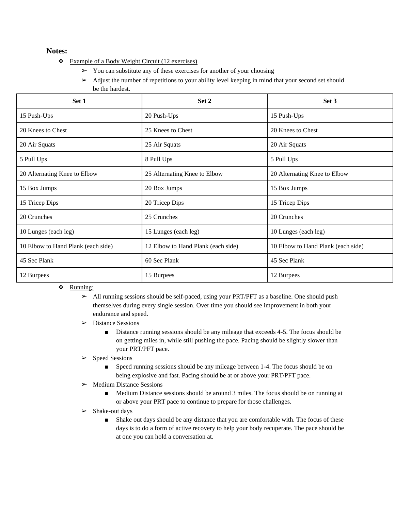### **Notes:**

- ❖ Example of a Body Weight Circuit (12 exercises)
	- $\triangleright$  You can substitute any of these exercises for another of your choosing
	- ➢ Adjust the number of repetitions to your ability level keeping in mind that your second set should be the hardest.

| Set 1                              | Set 2                              | Set 3                              |
|------------------------------------|------------------------------------|------------------------------------|
| 15 Push-Ups                        | 20 Push-Ups                        | 15 Push-Ups                        |
| 20 Knees to Chest                  | 25 Knees to Chest                  | 20 Knees to Chest                  |
| 20 Air Squats                      | 25 Air Squats                      | 20 Air Squats                      |
| 5 Pull Ups                         | 8 Pull Ups                         | 5 Pull Ups                         |
| 20 Alternating Knee to Elbow       | 25 Alternating Knee to Elbow       | 20 Alternating Knee to Elbow       |
| 15 Box Jumps                       | 20 Box Jumps                       | 15 Box Jumps                       |
| 15 Tricep Dips                     | 20 Tricep Dips                     | 15 Tricep Dips                     |
| 20 Crunches                        | 25 Crunches                        | 20 Crunches                        |
| 10 Lunges (each leg)               | 15 Lunges (each leg)               | 10 Lunges (each leg)               |
| 10 Elbow to Hand Plank (each side) | 12 Elbow to Hand Plank (each side) | 10 Elbow to Hand Plank (each side) |
| 45 Sec Plank                       | 60 Sec Plank                       | 45 Sec Plank                       |
| 12 Burpees                         | 15 Burpees                         | 12 Burpees                         |

❖ Running:

 $\triangleright$  All running sessions should be self-paced, using your PRT/PFT as a baseline. One should push themselves during every single session. Over time you should see improvement in both your endurance and speed.

- ➢ Distance Sessions
	- Distance running sessions should be any mileage that exceeds 4-5. The focus should be on getting miles in, while still pushing the pace. Pacing should be slightly slower than your PRT/PFT pace.
- ➢ Speed Sessions
	- Speed running sessions should be any mileage between 1-4. The focus should be on being explosive and fast. Pacing should be at or above your PRT/PFT pace.
- ➢ Medium Distance Sessions
	- Medium Distance sessions should be around 3 miles. The focus should be on running at or above your PRT pace to continue to prepare for those challenges.
- ➢ Shake-out days
	- Shake out days should be any distance that you are comfortable with. The focus of these days is to do a form of active recovery to help your body recuperate. The pace should be at one you can hold a conversation at.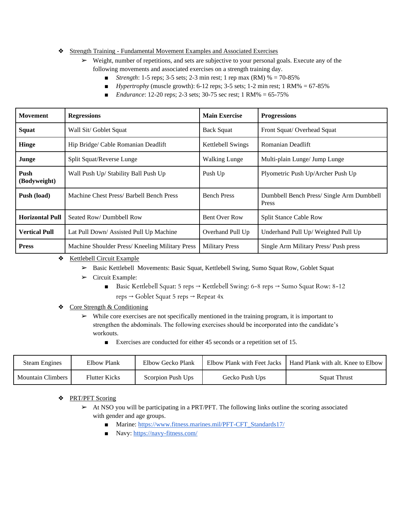### ❖ Strength Training - Fundamental Movement Examples and Associated Exercises

- $\triangleright$  Weight, number of repetitions, and sets are subjective to your personal goals. Execute any of the following movements and associated exercises on a strength training day.
	- *Strength*: 1-5 reps; 3-5 sets; 2-3 min rest; 1 rep max (RM) % = 70-85%
	- $\blacksquare$  *Hypertrophy* (muscle growth): 6-12 reps; 3-5 sets; 1-2 min rest; 1 RM% = 67-85%
	- *Endurance*: 12-20 reps; 2-3 sets; 30-75 sec rest; 1 RM% = 65-75%

| <b>Movement</b>        | <b>Regressions</b>                              | <b>Main Exercise</b>  | <b>Progressions</b>                               |
|------------------------|-------------------------------------------------|-----------------------|---------------------------------------------------|
| <b>Squat</b>           | Wall Sit/ Goblet Squat                          | <b>Back Squat</b>     | Front Squat/ Overhead Squat                       |
| Hinge                  | Hip Bridge/ Cable Romanian Deadlift             | Kettlebell Swings     | <b>Romanian Deadlift</b>                          |
| Junge                  | Split Squat/Reverse Lunge                       | <b>Walking Lunge</b>  | Multi-plain Lunge/ Jump Lunge                     |
| Push<br>(Bodyweight)   | Wall Push Up/ Stability Ball Push Up            | Push Up               | Plyometric Push Up/Archer Push Up                 |
| Push (load)            | Machine Chest Press/ Barbell Bench Press        | <b>Bench Press</b>    | Dumbbell Bench Press/Single Arm Dumbbell<br>Press |
| <b>Horizontal Pull</b> | Seated Row/Dumbbell Row                         | <b>Bent Over Row</b>  | <b>Split Stance Cable Row</b>                     |
| <b>Vertical Pull</b>   | Lat Pull Down/Assisted Pull Up Machine          | Overhand Pull Up      | Underhand Pull Up/Weighted Pull Up                |
| <b>Press</b>           | Machine Shoulder Press/ Kneeling Military Press | <b>Military Press</b> | Single Arm Military Press/Push press              |

#### ❖ Kettlebell Circuit Example

- ➢ Basic Kettlebell Movements: Basic Squat, Kettlebell Swing, Sumo Squat Row, Goblet Squat
- ➢ Circuit Example:
	- Basic Kettlebell Squat: 5 reps  $\rightarrow$  Kettlebell Swing: 6-8 reps  $\rightarrow$  Sumo Squat Row: 8-12 reps → Goblet Squat 5 reps → Repeat 4x
- ❖ Core Strength & Conditioning
	- $\triangleright$  While core exercises are not specifically mentioned in the training program, it is important to strengthen the abdominals. The following exercises should be incorporated into the candidate's workouts.
		- Exercises are conducted for either 45 seconds or a repetition set of 15.

| <b>Steam Engines</b>     | Elbow Plank          | Elbow Gecko Plank | Elbow Plank with Feet Jacks | Hand Plank with alt. Knee to Elbow |
|--------------------------|----------------------|-------------------|-----------------------------|------------------------------------|
| <b>Mountain Climbers</b> | <b>Flutter Kicks</b> | Scorpion Push Ups | Gecko Push Ups              | <b>Squat Thrust</b>                |

❖ PRT/PFT Scoring

 $\triangleright$  At NSO you will be participating in a PRT/PFT. The following links outline the scoring associated with gender and age groups.

- Marine: https://www.fitness.marines.mil/PFT-CFT\_Standards17/
- Navy:<https://navy-fitness.com/>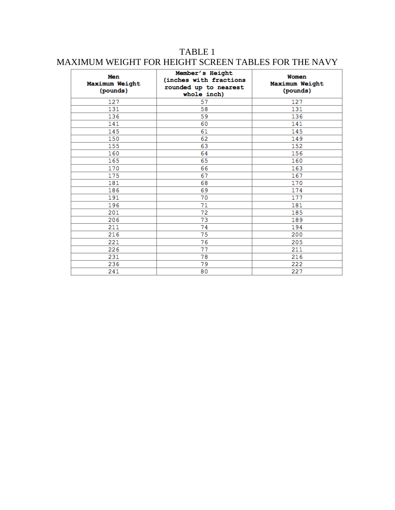# TABLE 1 MAXIMUM WEIGHT FOR HEIGHT SCREEN TABLES FOR THE NAVY

| Men<br>Maximum Weight<br>(pounds) | Member's Height<br>(inches with fractions<br>rounded up to nearest<br>whole inch) | Women<br>Maximum Weight<br>(pounds) |
|-----------------------------------|-----------------------------------------------------------------------------------|-------------------------------------|
| 127                               | 57                                                                                | 127                                 |
| 131                               | 58                                                                                | 131                                 |
| 136                               | 59                                                                                | 136                                 |
| 141                               | 60                                                                                | 141                                 |
| 145                               | 61                                                                                | 145                                 |
| 150                               | 62                                                                                | 149                                 |
| 155                               | 63                                                                                | 152                                 |
| 160                               | 64                                                                                | 156                                 |
| 165                               | 65                                                                                | 160                                 |
| 170                               | 66                                                                                | 163                                 |
| 175                               | 67                                                                                | 167                                 |
| 181                               | 68                                                                                | 170                                 |
| 186                               | 69                                                                                | 174                                 |
| 191                               | 70                                                                                | 177                                 |
| 196                               | 71                                                                                | 181                                 |
| 201                               | 72                                                                                | 185                                 |
| 206                               | 73                                                                                | 189                                 |
| 211                               | 74                                                                                | 194                                 |
| 216                               | 75                                                                                | 200                                 |
| 221                               | 76                                                                                | 205                                 |
| 226                               | 77                                                                                | 211                                 |
| 231                               | 78                                                                                | 216                                 |
| 236                               | 79                                                                                | 222                                 |
| 241                               | 80                                                                                | 227                                 |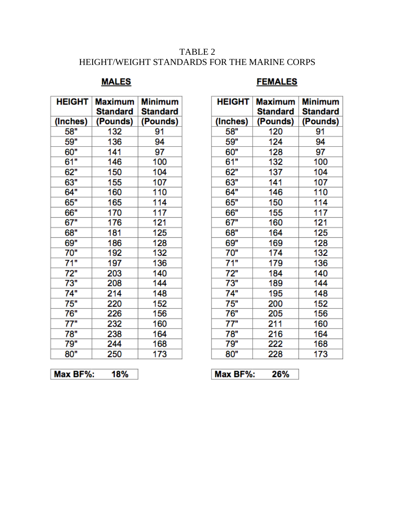# TABLE 2 HEIGHT/WEIGHT STANDARDS FOR THE MARINE CORPS

# **MALES**

## **FEMALES**

| <b>HEIGHT</b> | Maximum<br>Standard | <b>Minimum</b><br>Standard |
|---------------|---------------------|----------------------------|
| (Inches)      | (Pounds)            | (Pounds)                   |
| 58"           | 132                 | 91                         |
| 59"           | 136                 | 94                         |
| 60"           | 141                 | 97                         |
| 61"           | 146                 | 100                        |
| 62"           | 150                 | 104                        |
| 63"           | 155                 | 107                        |
| 64"           | 160                 | 110                        |
| 65"           | 165                 | 114                        |
| 66"           | 170                 | 117                        |
| 67"           | 176                 | 121                        |
| 68"           | 181                 | 125                        |
| 69"           | 186                 | 128                        |
| 70"           | 192                 | 132                        |
| 71"           | 197                 | 136                        |
| 72"           | 203                 | 140                        |
| 73"           | 208                 | 144                        |
| 74"           | 214                 | 148                        |
| 75"           | 220                 | 152                        |
| 76"           | 226                 | 156                        |
| 77"           | 232                 | 160                        |
| 78"           | 238                 | 164                        |
| 79"           | 244                 | 168                        |
| 80"           | 250                 | 173                        |

| <b>HEIGHT</b> | <b>Maximum</b><br>Standard | <b>Minimum</b><br><b>Standard</b> |
|---------------|----------------------------|-----------------------------------|
| (Inches)      | (Pounds)                   | (Pounds)                          |
| 58"           | 120                        | 91                                |
| 59"           | 124                        | 94                                |
| 60"           | 128                        | 97                                |
| 61"           | 132                        | 100                               |
| 62"           | 137                        | 104                               |
| 63"           | 141                        | 107                               |
| 64"           | 146                        | 110                               |
| 65"           | 150                        | 114                               |
| 66"           | 155                        | 117                               |
| 67"           | 160                        | 121                               |
| 68"           | 164                        | 125                               |
| 69"           | 169                        | 128                               |
| 70"           | 174                        | 132                               |
| 71"           | 179                        | 136                               |
| 72"           | 184                        | 140                               |
| 73"           | 189                        | 144                               |
| 74"           | 195                        | 148                               |
| 75"           | 200                        | 152                               |
| 76"           | 205                        | 156                               |
| 77"           | 211                        | 160                               |
| 78"           | 216                        | 164                               |
| 79"           | 222                        | 168                               |
| 80"           | 228                        | 173                               |

Max BF%: 18% Max BF%: 26%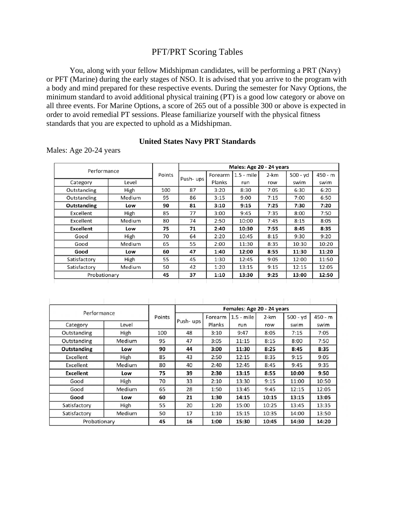## PFT/PRT Scoring Tables

You, along with your fellow Midshipman candidates, will be performing a PRT (Navy) or PFT (Marine) during the early stages of NSO. It is advised that you arrive to the program with a body and mind prepared for these respective events. During the semester for Navy Options, the minimum standard to avoid additional physical training (PT) is a good low category or above on all three events. For Marine Options, a score of 265 out of a possible 300 or above is expected in order to avoid remedial PT sessions. Please familiarize yourself with the physical fitness standards that you are expected to uphold as a Midshipman.

### **United States Navy PRT Standards**

Males: Age 20-24 years

|                  |        |          | Males: Age 20 - 24 years |         |              |      |          |         |
|------------------|--------|----------|--------------------------|---------|--------------|------|----------|---------|
| Performance      |        | Points   |                          | Forearm | $1.5 - mile$ | 2-km | 500 - yd | 450 - m |
| Category         | Level  | Push-ups | Planks                   | run     | row          | swim | swim     |         |
| Outstanding      | High   | 100      | 87                       | 3:20    | 8:30         | 7:05 | 6:30     | 6:20    |
| Outstanding      | Medium | 95       | 86                       | 3:15    | 9:00         | 7:15 | 7:00     | 6:50    |
| Outstanding      | Low    | 90       | 81                       | 3:10    | 9:15         | 7:25 | 7:30     | 7:20    |
| Excellent        | High   | 85       | 77                       | 3:00    | 9:45         | 7:35 | 8:00     | 7:50    |
| Excellent        | Medium | 80       | 74                       | 2:50    | 10:00        | 7:45 | 8:15     | 8:05    |
| <b>Excellent</b> | Low    | 75       | 71                       | 2:40    | 10:30        | 7:55 | 8:45     | 8:35    |
| Good             | High   | 70       | 64                       | 2:20    | 10:45        | 8:15 | 9:30     | 9:20    |
| Good             | Medium | 65       | 55                       | 2:00    | 11:30        | 8:35 | 10:30    | 10:20   |
| Good             | Low    | 60       | 47                       | 1:40    | 12:00        | 8:55 | 11:30    | 11:20   |
| Satisfactory     | High   | 55       | 45                       | 1:30    | 12:45        | 9:05 | 12:00    | 11:50   |
| Satisfactory     | Medium | 50       | 42                       | 1:20    | 13:15        | 9:15 | 12:15    | 12:05   |
| Probationary     |        | 45       | 37                       | 1:10    | 13:30        | 9:25 | 13:00    | 12:50   |
|                  |        |          |                          |         |              |      |          |         |

| Performance        |        |        | Females: Age 20 - 24 years |         |              |          |            |           |  |
|--------------------|--------|--------|----------------------------|---------|--------------|----------|------------|-----------|--|
|                    |        | Points |                            | Forearm | $1.5 - mile$ | $2 - km$ | $500 - yd$ | $450 - m$ |  |
| Category           | Level  |        | Push-ups                   | Planks  | run          | row      | swim       | swim      |  |
| Outstanding        | High   | 100    | 48                         | 3:10    | 9:47         | 8:05     | 7:15       | 7:05      |  |
| Outstanding        | Medium | 95     | 47                         | 3:05    | 11:15        | 8:15     | 8:00       | 7:50      |  |
| <b>Outstanding</b> | Low    | 90     | 44                         | 3:00    | 11:30        | 8:25     | 8:45       | 8:35      |  |
| Excellent          | High   | 85     | 43                         | 2:50    | 12:15        | 8:35     | 9:15       | 9:05      |  |
| Excellent          | Medium | 80     | 40                         | 2:40    | 12:45        | 8:45     | 9:45       | 9:35      |  |
| <b>Excellent</b>   | Low    | 75     | 39                         | 2:30    | 13:15        | 8:55     | 10:00      | 9:50      |  |
| Good               | High   | 70     | 33                         | 2:10    | 13:30        | 9:15     | 11:00      | 10:50     |  |
| Good               | Medium | 65     | 28                         | 1:50    | 13:45        | 9:45     | 12:15      | 12:05     |  |
| Good               | Low    | 60     | 21                         | 1:30    | 14:15        | 10:15    | 13:15      | 13:05     |  |
| Satisfactory       | High   | 55     | 20                         | 1:20    | 15:00        | 10:25    | 13:45      | 13:35     |  |
| Satisfactory       | Medium | 50     | 17                         | 1:10    | 15:15        | 10:35    | 14:00      | 13:50     |  |
| Probationary       |        | 45     | 16                         | 1:00    | 15:30        | 10:45    | 14:30      | 14:20     |  |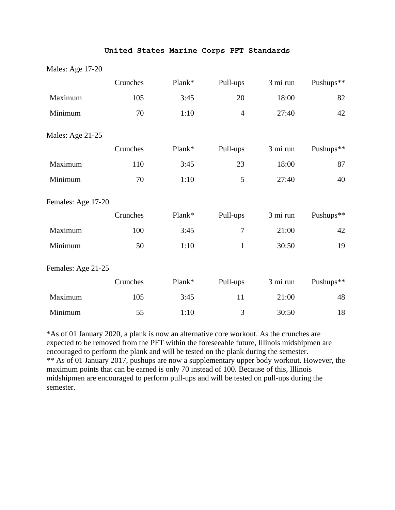### **United States Marine Corps PFT Standards**

### Males: Age 17-20

|                    | Crunches | Plank* | Pull-ups       | 3 mi run | Pushups** |
|--------------------|----------|--------|----------------|----------|-----------|
| Maximum            | 105      | 3:45   | 20             | 18:00    | 82        |
| Minimum            | 70       | 1:10   | $\overline{4}$ | 27:40    | 42        |
| Males: Age 21-25   |          |        |                |          |           |
|                    | Crunches | Plank* | Pull-ups       | 3 mi run | Pushups** |
| Maximum            | 110      | 3:45   | 23             | 18:00    | 87        |
| Minimum            | 70       | 1:10   | 5              | 27:40    | 40        |
| Females: Age 17-20 |          |        |                |          |           |
|                    | Crunches | Plank* | Pull-ups       | 3 mi run | Pushups** |
| Maximum            | 100      | 3:45   | $\overline{7}$ | 21:00    | 42        |
| Minimum            | 50       | 1:10   | $\mathbf{1}$   | 30:50    | 19        |
| Females: Age 21-25 |          |        |                |          |           |
|                    | Crunches | Plank* | Pull-ups       | 3 mi run | Pushups** |
| Maximum            | 105      | 3:45   | 11             | 21:00    | 48        |
| Minimum            | 55       | 1:10   | 3              | 30:50    | 18        |

\*As of 01 January 2020, a plank is now an alternative core workout. As the crunches are expected to be removed from the PFT within the foreseeable future, Illinois midshipmen are encouraged to perform the plank and will be tested on the plank during the semester. \*\* As of 01 January 2017, pushups are now a supplementary upper body workout. However, the maximum points that can be earned is only 70 instead of 100. Because of this, Illinois midshipmen are encouraged to perform pull-ups and will be tested on pull-ups during the semester.